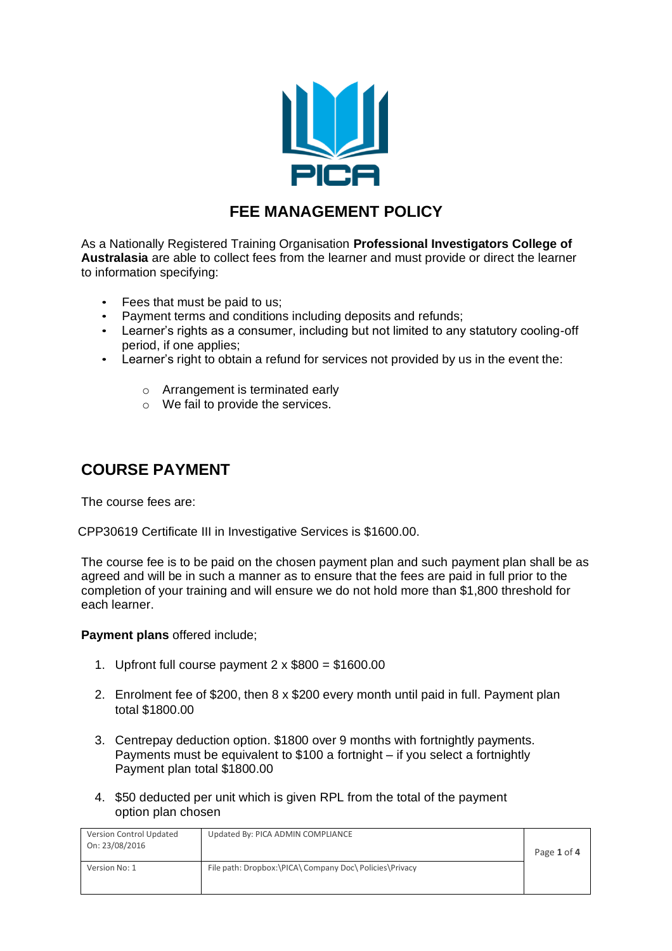

## **FEE MANAGEMENT POLICY**

As a Nationally Registered Training Organisation **Professional Investigators College of Australasia** are able to collect fees from the learner and must provide or direct the learner to information specifying:

- Fees that must be paid to us;
- Payment terms and conditions including deposits and refunds;
- Learner's rights as a consumer, including but not limited to any statutory cooling-off period, if one applies;
- Learner's right to obtain a refund for services not provided by us in the event the:
	- o Arrangement is terminated early
	- o We fail to provide the services.

### **COURSE PAYMENT**

The course fees are:

CPP30619 Certificate III in Investigative Services is \$1600.00.

The course fee is to be paid on the chosen payment plan and such payment plan shall be as agreed and will be in such a manner as to ensure that the fees are paid in full prior to the completion of your training and will ensure we do not hold more than \$1,800 threshold for each learner.

#### **Payment plans** offered include;

- 1. Upfront full course payment  $2 \times $800 = $1600.00$
- 2. Enrolment fee of \$200, then 8 x \$200 every month until paid in full. Payment plan total \$1800.00
- 3. Centrepay deduction option. \$1800 over 9 months with fortnightly payments. Payments must be equivalent to \$100 a fortnight – if you select a fortnightly Payment plan total \$1800.00
- 4. \$50 deducted per unit which is given RPL from the total of the payment option plan chosen

| Version Control Updated<br>On: 23/08/2016 | Updated By: PICA ADMIN COMPLIANCE                       | Page 1 of 4 |
|-------------------------------------------|---------------------------------------------------------|-------------|
| Version No: 1                             | File path: Dropbox:\PICA\ Company Doc\ Policies\Privacy |             |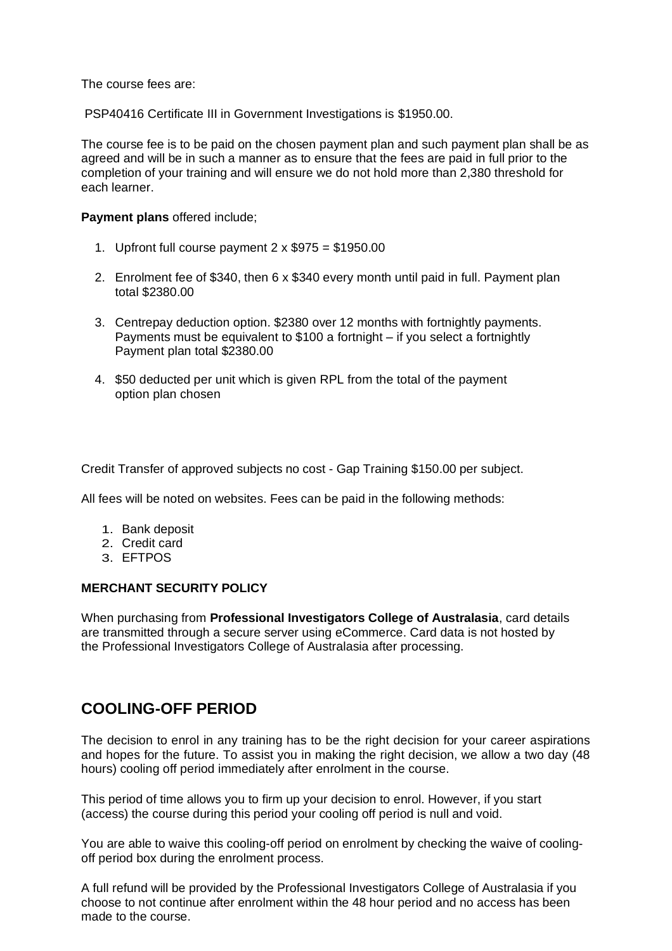The course fees are:

PSP40416 Certificate III in Government Investigations is \$1950.00.

The course fee is to be paid on the chosen payment plan and such payment plan shall be as agreed and will be in such a manner as to ensure that the fees are paid in full prior to the completion of your training and will ensure we do not hold more than 2,380 threshold for each learner.

#### **Payment plans** offered include;

- 1. Upfront full course payment  $2 \times $975 = $1950.00$
- 2. Enrolment fee of \$340, then 6 x \$340 every month until paid in full. Payment plan total \$2380.00
- 3. Centrepay deduction option. \$2380 over 12 months with fortnightly payments. Payments must be equivalent to \$100 a fortnight – if you select a fortnightly Payment plan total \$2380.00
- 4. \$50 deducted per unit which is given RPL from the total of the payment option plan chosen

Credit Transfer of approved subjects no cost - Gap Training \$150.00 per subject.

All fees will be noted on websites. Fees can be paid in the following methods:

- 1. Bank deposit
- 2. Credit card
- 3. EFTPOS

#### **MERCHANT SECURITY POLICY**

When purchasing from **Professional Investigators College of Australasia**, card details are transmitted through a secure server using eCommerce. Card data is not hosted by the Professional Investigators College of Australasia after processing.

### **COOLING-OFF PERIOD**

The decision to enrol in any training has to be the right decision for your career aspirations and hopes for the future. To assist you in making the right decision, we allow a two day (48 hours) cooling off period immediately after enrolment in the course.

This period of time allows you to firm up your decision to enrol. However, if you start (access) the course during this period your cooling off period is null and void.

You are able to waive this cooling-off period on enrolment by checking the waive of coolingoff period box during the enrolment process.

A full refund will be provided by the Professional Investigators College of Australasia if you choose to not continue after enrolment within the 48 hour period and no access has been made to the course.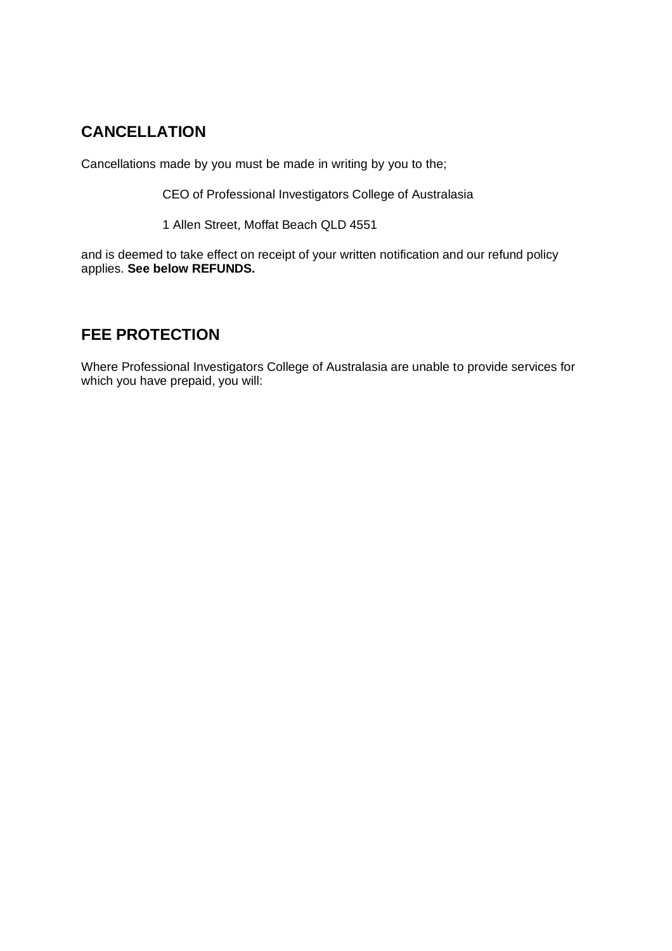# **CANCELLATION**

Cancellations made by you must be made in writing by you to the;

CEO of Professional Investigators College of Australasia

1 Allen Street, Moffat Beach QLD 4551

and is deemed to take effect on receipt of your written notification and our refund policy applies. **See below REFUNDS.**

## **FEE PROTECTION**

Where Professional Investigators College of Australasia are unable to provide services for which you have prepaid, you will: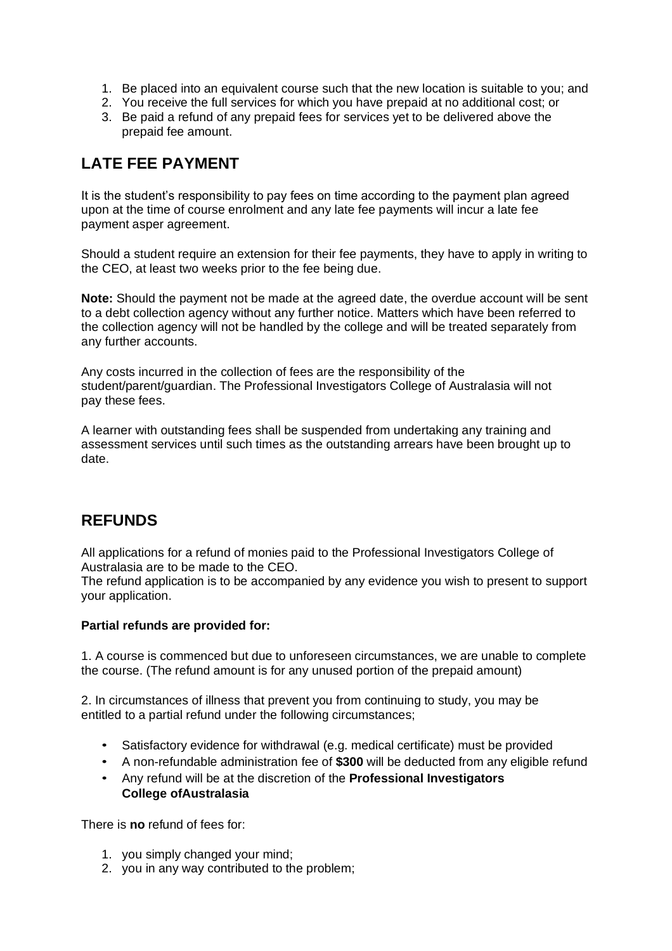- 1. Be placed into an equivalent course such that the new location is suitable to you; and
- 2. You receive the full services for which you have prepaid at no additional cost; or
- 3. Be paid a refund of any prepaid fees for services yet to be delivered above the prepaid fee amount.

# **LATE FEE PAYMENT**

It is the student's responsibility to pay fees on time according to the payment plan agreed upon at the time of course enrolment and any late fee payments will incur a late fee payment asper agreement.

Should a student require an extension for their fee payments, they have to apply in writing to the CEO, at least two weeks prior to the fee being due.

**Note:** Should the payment not be made at the agreed date, the overdue account will be sent to a debt collection agency without any further notice. Matters which have been referred to the collection agency will not be handled by the college and will be treated separately from any further accounts.

Any costs incurred in the collection of fees are the responsibility of the student/parent/guardian. The Professional Investigators College of Australasia will not pay these fees.

A learner with outstanding fees shall be suspended from undertaking any training and assessment services until such times as the outstanding arrears have been brought up to date.

# **REFUNDS**

All applications for a refund of monies paid to the Professional Investigators College of Australasia are to be made to the CEO.

The refund application is to be accompanied by any evidence you wish to present to support your application.

### **Partial refunds are provided for:**

1. A course is commenced but due to unforeseen circumstances, we are unable to complete the course. (The refund amount is for any unused portion of the prepaid amount)

2. In circumstances of illness that prevent you from continuing to study, you may be entitled to a partial refund under the following circumstances;

- Satisfactory evidence for withdrawal (e.g. medical certificate) must be provided
- A non-refundable administration fee of **\$300** will be deducted from any eligible refund
- Any refund will be at the discretion of the **Professional Investigators College ofAustralasia**

There is **no** refund of fees for:

- 1. you simply changed your mind;
- 2. you in any way contributed to the problem;